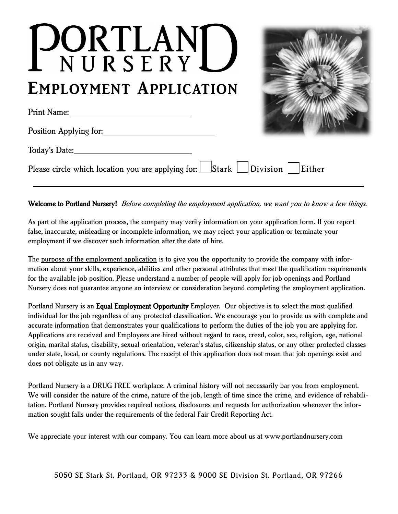# PORTLANI **EMPLOYMENT APPLICATION**

Print Name:



| Position Applying for:                                                                        |  |
|-----------------------------------------------------------------------------------------------|--|
| Today's Date:                                                                                 |  |
| Please circle which location you are applying for: $\Box$ Stark $\Box$ Division $\Box$ Either |  |

Welcome to Portland Nursery! Before completing the employment application, we want you to know a few things.

As part of the application process, the company may verify information on your application form. If you report false, inaccurate, misleading or incomplete information, we may reject your application or terminate your employment if we discover such information after the date of hire.

The <u>purpose of the employment application</u> is to give you the opportunity to provide the company with information about your skills, experience, abilities and other personal attributes that meet the qualification requirements for the available job position. Please understand a number of people will apply for job openings and Portland Nursery does not guarantee anyone an interview or consideration beyond completing the employment application.

Portland Nursery is an Equal Employment Opportunity Employer. Our objective is to select the most qualified individual for the job regardless of any protected classification. We encourage you to provide us with complete and accurate information that demonstrates your qualifications to perform the duties of the job you are applying for. Applications are received and Employees are hired without regard to race, creed, color, sex, religion, age, national origin, marital status, disability, sexual orientation, veteran's status, citizenship status, or any other protected classes under state, local, or county regulations. The receipt of this application does not mean that job openings exist and does not obligate us in any way.

Portland Nursery is a DRUG FREE workplace. A criminal history will not necessarily bar you from employment. We will consider the nature of the crime, nature of the job, length of time since the crime, and evidence of rehabilitation. Portland Nursery provides required notices, disclosures and requests for authorization whenever the information sought falls under the requirements of the federal Fair Credit Reporting Act.

We appreciate your interest with our company. You can learn more about us at www.portlandnursery.com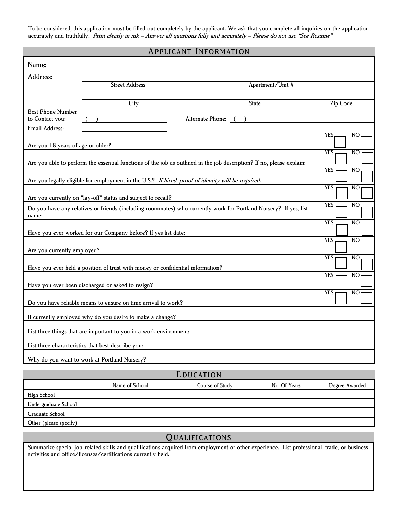To be considered, this application must be filled out completely by the applicant. We ask that you complete all inquiries on the application accurately and truthfully. Print clearly in ink - Answer all questions fully and accurately - Please do not use "See Resume"

| <b>APPLICANT INFORMATION</b>                 |                                                                                                                       |                     |                                           |                              |
|----------------------------------------------|-----------------------------------------------------------------------------------------------------------------------|---------------------|-------------------------------------------|------------------------------|
| Name:                                        |                                                                                                                       |                     |                                           |                              |
| Address:                                     |                                                                                                                       |                     |                                           |                              |
|                                              | <b>Street Address</b>                                                                                                 |                     | Apartment/Unit #                          |                              |
|                                              | City                                                                                                                  |                     | $\vert \blacktriangledown \vert$<br>State | Zip Code                     |
| <b>Best Phone Number</b>                     |                                                                                                                       |                     |                                           |                              |
| to Contact you:                              |                                                                                                                       | Alternate Phone: () |                                           |                              |
| Email Address:                               |                                                                                                                       |                     |                                           | <b>YES</b><br>NO             |
| Are you 18 years of age or older?            |                                                                                                                       |                     |                                           |                              |
|                                              |                                                                                                                       |                     |                                           | <b>YES</b><br>N <sub>O</sub> |
|                                              | Are you able to perform the essential functions of the job as outlined in the job description? If no, please explain: |                     |                                           | <b>YES</b><br>N <sub>O</sub> |
|                                              | Are you legally eligible for employment in the U.S.? If hired, proof of identity will be required.                    |                     |                                           |                              |
|                                              |                                                                                                                       |                     |                                           | <b>YES</b><br>N <sub>O</sub> |
|                                              | Are you currently on "lay-off" status and subject to recall?                                                          |                     |                                           |                              |
| name:                                        | Do you have any relatives or friends (including roommates) who currently work for Portland Nursery? If yes, list      |                     |                                           | <b>YES</b><br>N <sub>O</sub> |
|                                              |                                                                                                                       |                     |                                           | <b>YES</b><br>N <sub>O</sub> |
|                                              | Have you ever worked for our Company before? If yes list date:                                                        |                     |                                           |                              |
|                                              |                                                                                                                       |                     |                                           | <b>YES</b><br>N <sub>O</sub> |
| Are you currently employed?                  |                                                                                                                       |                     |                                           | <b>YES</b><br>N <sub>O</sub> |
|                                              | Have you ever held a position of trust with money or confidential information?                                        |                     |                                           |                              |
|                                              |                                                                                                                       |                     |                                           | <b>YES</b><br>N <sub>O</sub> |
|                                              | Have you ever been discharged or asked to resign?                                                                     |                     |                                           | <b>YES</b><br>NO             |
|                                              | Do you have reliable means to ensure on time arrival to work?                                                         |                     |                                           |                              |
|                                              | If currently employed why do you desire to make a change?                                                             |                     |                                           |                              |
|                                              | List three things that are important to you in a work environment:                                                    |                     |                                           |                              |
|                                              | List three characteristics that best describe you:                                                                    |                     |                                           |                              |
| Why do you want to work at Portland Nursery? |                                                                                                                       |                     |                                           |                              |
| EDUCATION                                    |                                                                                                                       |                     |                                           |                              |
|                                              | Name of School                                                                                                        | Course of Study     | No. Of Years                              | Degree Awarded               |
| <b>High School</b>                           |                                                                                                                       |                     |                                           |                              |
| Undergraduate School                         |                                                                                                                       |                     |                                           |                              |
| Graduate School                              |                                                                                                                       |                     |                                           |                              |

#### QUALIFICATIONS

Other (please specify)

Summarize special job-related skills and qualifications acquired from employment or other experience. List professional, trade, or business activities and office/licenses/certifications currently held.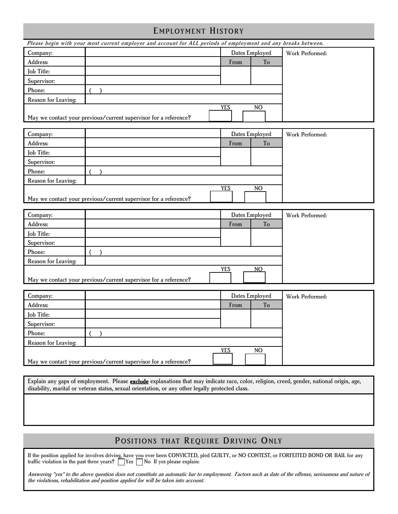## E MPLOYMENT HISTORY

|                                                                                                  | Please begin with your most current employer and account for ALL periods of employment and any breaks between.                                   |                              |                 |
|--------------------------------------------------------------------------------------------------|--------------------------------------------------------------------------------------------------------------------------------------------------|------------------------------|-----------------|
| Company:                                                                                         |                                                                                                                                                  | Dates Employed               | Work Performed: |
| Address:                                                                                         |                                                                                                                                                  | To<br>From                   |                 |
| Job Title:                                                                                       |                                                                                                                                                  |                              |                 |
| Supervisor:                                                                                      |                                                                                                                                                  |                              |                 |
| Phone:                                                                                           |                                                                                                                                                  |                              |                 |
| Reason for Leaving:                                                                              |                                                                                                                                                  |                              |                 |
|                                                                                                  |                                                                                                                                                  | <b>YES</b><br>N <sub>O</sub> |                 |
|                                                                                                  | May we contact your previous/current supervisor for a reference?                                                                                 |                              |                 |
|                                                                                                  |                                                                                                                                                  |                              |                 |
| Company:                                                                                         |                                                                                                                                                  | Dates Employed               | Work Performed: |
| Address:                                                                                         |                                                                                                                                                  | To<br>From                   |                 |
| Job Title:                                                                                       |                                                                                                                                                  |                              |                 |
| Supervisor:                                                                                      |                                                                                                                                                  |                              |                 |
| Phone:                                                                                           |                                                                                                                                                  |                              |                 |
| Reason for Leaving:                                                                              |                                                                                                                                                  |                              |                 |
|                                                                                                  |                                                                                                                                                  | <b>YES</b><br>NO             |                 |
|                                                                                                  | May we contact your previous/current supervisor for a reference?                                                                                 |                              |                 |
|                                                                                                  |                                                                                                                                                  |                              |                 |
| Company:<br>Address:                                                                             |                                                                                                                                                  | Dates Employed<br>To<br>From | Work Performed: |
| Job Title:                                                                                       |                                                                                                                                                  |                              |                 |
| Supervisor:                                                                                      |                                                                                                                                                  |                              |                 |
| Phone:                                                                                           |                                                                                                                                                  |                              |                 |
| Reason for Leaving:                                                                              |                                                                                                                                                  |                              |                 |
|                                                                                                  |                                                                                                                                                  | <b>YES</b><br>NO.            |                 |
|                                                                                                  | May we contact your previous/current supervisor for a reference?                                                                                 |                              |                 |
|                                                                                                  |                                                                                                                                                  |                              |                 |
| Company:                                                                                         |                                                                                                                                                  | Dates Employed               | Work Performed: |
| Address:                                                                                         |                                                                                                                                                  | To<br>From                   |                 |
| Job Title:                                                                                       |                                                                                                                                                  |                              |                 |
| Supervisor:                                                                                      |                                                                                                                                                  |                              |                 |
| Phone:                                                                                           |                                                                                                                                                  |                              |                 |
| Reason for Leaving:                                                                              |                                                                                                                                                  |                              |                 |
|                                                                                                  |                                                                                                                                                  | <b>YES</b><br>NO             |                 |
|                                                                                                  | May we contact your previous/current supervisor for a reference?                                                                                 |                              |                 |
|                                                                                                  |                                                                                                                                                  |                              |                 |
|                                                                                                  | Explain any gaps of employment. Please <b>exclude</b> explanations that may indicate race, color, religion, creed, gender, national origin, age, |                              |                 |
| disability, marital or veteran status, sexual orientation, or any other legally protected class. |                                                                                                                                                  |                              |                 |
|                                                                                                  |                                                                                                                                                  |                              |                 |
|                                                                                                  |                                                                                                                                                  |                              |                 |
|                                                                                                  |                                                                                                                                                  |                              |                 |

# POSITIONS THAT REQUIRE DRIVING ONLY

If the position applied for involves driving, have you ever been CONVICTED, pled GUILTY, or NO CONTEST, or FORFEITED BOND OR BAIL for any traffic violation in the past three years?  $\Box$  Yes  $\Box$  No If yes please explain:

Answering "yes" to the above question does not constitute an automatic bar to employment. Factors such as date of the offense, seriousness and nature of the violations, rehabilitation and position applied for will be taken into account.